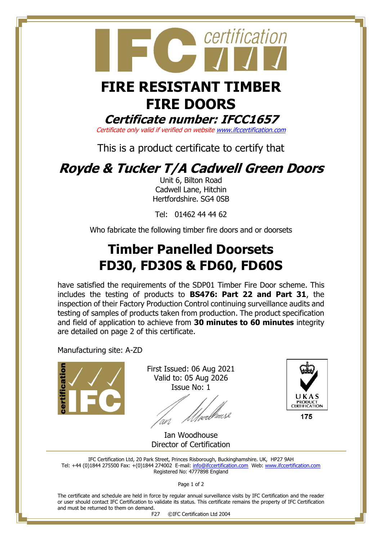

# **FIRE RESISTANT TIMBER FIRE DOORS**

**Certificate number: IFCC1657**

Certificate only valid if verified on websit[e www.ifccertification.com](http://www.ifccertification.com/)

This is a product certificate to certify that

## **Royde & Tucker T/A Cadwell Green Doors**

Unit 6, Bilton Road Cadwell Lane, Hitchin Hertfordshire. SG4 0SB

Tel: 01462 44 44 62

Who fabricate the following timber fire doors and or doorsets

## **Timber Panelled Doorsets FD30, FD30S & FD60, FD60S**

have satisfied the requirements of the SDP01 Timber Fire Door scheme. This includes the testing of products to **BS476: Part 22 and Part 31**, the inspection of their Factory Production Control continuing surveillance audits and testing of samples of products taken from production. The product specification and field of application to achieve from **30 minutes to 60 minutes** integrity are detailed on page 2 of this certificate.

Manufacturing site: A-ZD



First Issued: 06 Aug 2021 Valid to: 05 Aug 2026 Issue No: 1

/µrlhousl <sup>l</sup>an



Ian Woodhouse Director of Certification

IFC Certification Ltd, 20 Park Street, Princes Risborough, Buckinghamshire. UK, HP27 9AH Tel: +44 (0)1844 275500 Fax: +(0)1844 274002 E-mail[: info@ifccertification.com](mailto:info@ifccertification.com) Web: [www.ifccertification.com](http://www.ifccertification.com/) Registered No: 4777898 England

Page 1 of 2

The certificate and schedule are held in force by regular annual surveillance visits by IFC Certification and the reader or user should contact IFC Certification to validate its status. This certificate remains the property of IFC Certification and must be returned to them on demand.

F27 ©IFC Certification Ltd 2004